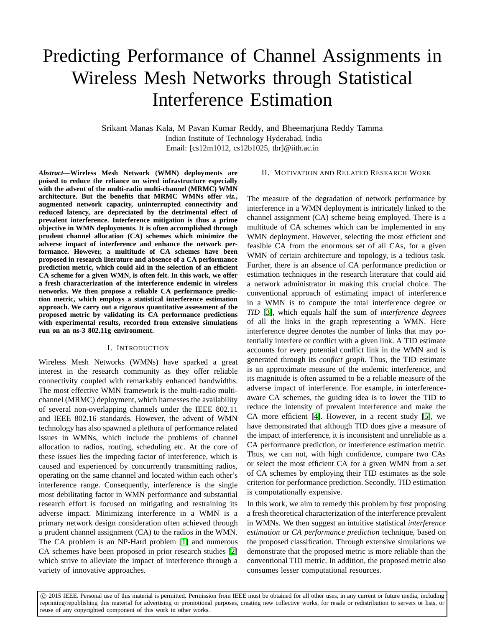# Predicting Performance of Channel Assignments in Wireless Mesh Networks through Statistical Interference Estimation

Srikant Manas Kala, M Pavan Kumar Reddy, and Bheemarjuna Reddy Tamma Indian Institute of Technology Hyderabad, India Email: [cs12m1012, cs12b1025, tbr]@iith.ac.in

*Abstract***—Wireless Mesh Network (WMN) deployments are poised to reduce the reliance on wired infrastructure especially with the advent of the multi-radio multi-channel (MRMC) WMN architecture. But the benefits that MRMC WMNs offer** *viz.***, augmented network capacity, uninterrupted connectivity and reduced latency, are depreciated by the detrimental effect of prevalent interference. Interference mitigation is thus a prime objective in WMN deployments. It is often accomplished through prudent channel allocation (CA) schemes which minimize the adverse impact of interference and enhance the network performance. However, a multitude of CA schemes have been proposed in research literature and absence of a CA performance prediction metric, which could aid in the selection of an efficient CA scheme for a given WMN, is often felt. In this work, we offer a fresh characterization of the interference endemic in wireless networks. We then propose a reliable CA performance prediction metric, which employs a statistical interference estimation approach. We carry out a rigorous quantitative assessment of the proposed metric by validating its CA performance predictions with experimental results, recorded from extensive simulations run on an ns-3 802.11g environment.**

# I. INTRODUCTION

Wireless Mesh Networks (WMNs) have sparked a great interest in the research community as they offer reliable connectivity coupled with remarkably enhanced bandwidths. The most effective WMN framework is the multi-radio multichannel (MRMC) deployment, which harnesses the availability of several non-overlapping channels under the IEEE 802.11 and IEEE 802.16 standards. However, the advent of WMN technology has also spawned a plethora of performance related issues in WMNs, which include the problems of channel allocation to radios, routing, scheduling etc. At the core of these issues lies the impeding factor of interference, which is caused and experienced by concurrently transmitting radios, operating on the same channel and located within each other's interference range. Consequently, interference is the single most debilitating factor in WMN performance and substantial research effort is focused on mitigating and restraining its adverse impact. Minimizing interference in a WMN is a primary network design consideration often achieved through a prudent channel assignment (CA) to the radios in the WMN. The CA problem is an NP-Hard problem [\[1\]](#page-5-0) and numerous CA schemes have been proposed in prior research studies [\[2\]](#page-5-1) which strive to alleviate the impact of interference through a variety of innovative approaches.

# II. MOTIVATION AND RELATED RESEARCH WORK

The measure of the degradation of network performance by interference in a WMN deployment is intricately linked to the channel assignment (CA) scheme being employed. There is a multitude of CA schemes which can be implemented in any WMN deployment. However, selecting the most efficient and feasible CA from the enormous set of all CAs, for a given WMN of certain architecture and topology, is a tedious task. Further, there is an absence of CA performance prediction or estimation techniques in the research literature that could aid a network administrator in making this crucial choice. The conventional approach of estimating impact of interference in a WMN is to compute the total interference degree or *TID* [\[3\]](#page-5-2), which equals half the sum of *interference degrees* of all the links in the graph representing a WMN. Here interference degree denotes the number of links that may potentially interfere or conflict with a given link. A TID estimate accounts for every potential conflict link in the WMN and is generated through its *conflict graph*. Thus, the TID estimate is an approximate measure of the endemic interference, and its magnitude is often assumed to be a reliable measure of the adverse impact of interference. For example, in interferenceaware CA schemes, the guiding idea is to lower the TID to reduce the intensity of prevalent interference and make the CA more efficient [\[4\]](#page-5-3). However, in a recent study [\[5\]](#page-5-4), we have demonstrated that although TID does give a measure of the impact of interference, it is inconsistent and unreliable as a CA performance prediction, or interference estimation metric. Thus, we can not, with high confidence, compare two CAs or select the most efficient CA for a given WMN from a set of CA schemes by employing their TID estimates as the sole criterion for performance prediction. Secondly, TID estimation is computationally expensive.

In this work, we aim to remedy this problem by first proposing a fresh theoretical characterization of the interference prevalent in WMNs. We then suggest an intuitive statistical *interference estimation* or *CA performance prediction* technique, based on the proposed classification. Through extensive simulations we demonstrate that the proposed metric is more reliable than the conventional TID metric. In addition, the proposed metric also consumes lesser computational resources.

 c 2015 IEEE. Personal use of this material is permitted. Permission from IEEE must be obtained for all other uses, in any current or future media, including reprinting/republishing this material for advertising or promotional purposes, creating new collective works, for resale or redistribution to servers or lists, or reuse of any copyrighted component of this work in other works.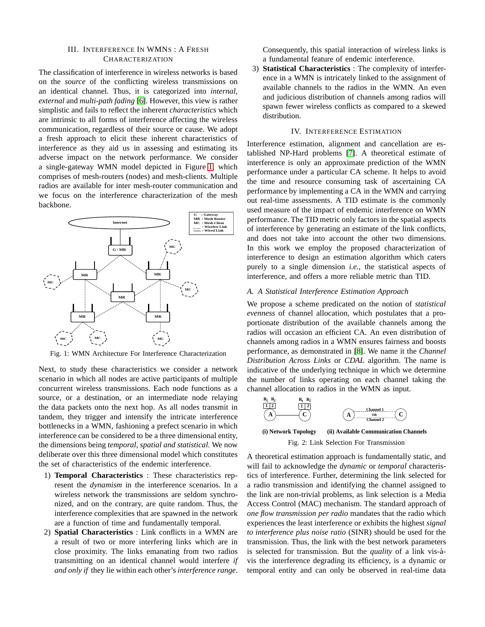# III. INTERFERENCE IN WMNS : A FRESH CHARACTERIZATION

The classification of interference in wireless networks is based on the *source* of the conflicting wireless transmissions on an identical channel. Thus, it is categorized into *internal*, *external* and *multi-path fading* [\[6\]](#page-5-5). However, this view is rather simplistic and fails to reflect the inherent *characteristics* which are intrinsic to all forms of interference affecting the wireless communication, regardless of their source or cause. We adopt a fresh approach to elicit these inherent characteristics of interference as they aid us in assessing and estimating its adverse impact on the network performance. We consider a single-gateway WMN model depicted in Figure [1,](#page-1-0) which comprises of mesh-routers (nodes) and mesh-clients. Multiple radios are available for inter mesh-router communication and we focus on the interference characterization of the mesh backbone.

<span id="page-1-0"></span>

Fig. 1: WMN Architecture For Interference Characterization

Next, to study these characteristics we consider a network scenario in which all nodes are active participants of multiple concurrent wireless transmissions. Each node functions as a source, or a destination, or an intermediate node relaying the data packets onto the next hop. As all nodes transmit in tandem, they trigger and intensify the intricate interference bottlenecks in a WMN, fashioning a prefect scenario in which interference can be considered to be a three dimensional entity, the dimensions being *temporal, spatial and statistical*. We now deliberate over this three dimensional model which constitutes the set of characteristics of the endemic interference.

- 1) **Temporal Characteristics** : These characteristics represent the *dynamism* in the interference scenarios. In a wireless network the transmissions are seldom synchronized, and on the contrary, are quite random. Thus, the interference complexities that are spawned in the network are a function of time and fundamentally temporal.
- 2) **Spatial Characteristics** : Link conflicts in a WMN are a result of two or more interfering links which are in close proximity. The links emanating from two radios transmitting on an identical channel would interfere *if and only if* they lie within each other's *interference range*.

Consequently, this spatial interaction of wireless links is a fundamental feature of endemic interference.

3) **Statistical Characteristics** : The complexity of interference in a WMN is intricately linked to the assignment of available channels to the radios in the WMN. An even and judicious distribution of channels among radios will spawn fewer wireless conflicts as compared to a skewed distribution.

# IV. INTERFERENCE ESTIMATION

Interference estimation, alignment and cancellation are established NP-Hard problems [\[7\]](#page-5-6). A theoretical estimate of interference is only an approximate prediction of the WMN performance under a particular CA scheme. It helps to avoid the time and resource consuming task of ascertaining CA performance by implementing a CA in the WMN and carrying out real-time assessments. A TID estimate is the commonly used measure of the impact of endemic interference on WMN performance. The TID metric only factors in the spatial aspects of interference by generating an estimate of the link conflicts, and does not take into account the other two dimensions. In this work we employ the proposed characterization of interference to design an estimation algorithm which caters purely to a single dimension *i.e.*, the statistical aspects of interference, and offers a more reliable metric than TID.

#### *A. A Statistical Interference Estimation Approach*

We propose a scheme predicated on the notion of *statistical evenness* of channel allocation, which postulates that a proportionate distribution of the available channels among the radios will occasion an efficient CA. An even distribution of channels among radios in a WMN ensures fairness and boosts performance, as demonstrated in [\[8\]](#page-5-7). We name it the *Channel Distribution Across Links* or *CDAL* algorithm. The name is indicative of the underlying technique in which we determine the number of links operating on each channel taking the channel allocation to radios in the WMN as input.

<span id="page-1-1"></span>

**(i) Network Topology (ii) Available Communication Channels** Fig. 2: Link Selection For Transmission

A theoretical estimation approach is fundamentally static, and will fail to acknowledge the *dynamic* or *temporal* characteristics of interference. Further, determining the link selected for a radio transmission and identifying the channel assigned to the link are non-trivial problems, as link selection is a Media Access Control (MAC) mechanism. The standard approach of *one flow transmission per radio* mandates that the radio which experiences the least interference or exhibits the highest *signal to interference plus noise ratio* (SINR) should be used for the transmission. Thus, the link with the best network parameters is selected for transmission. But the *quality* of a link vis-àvis the interference degrading its efficiency, is a dynamic or temporal entity and can only be observed in real-time data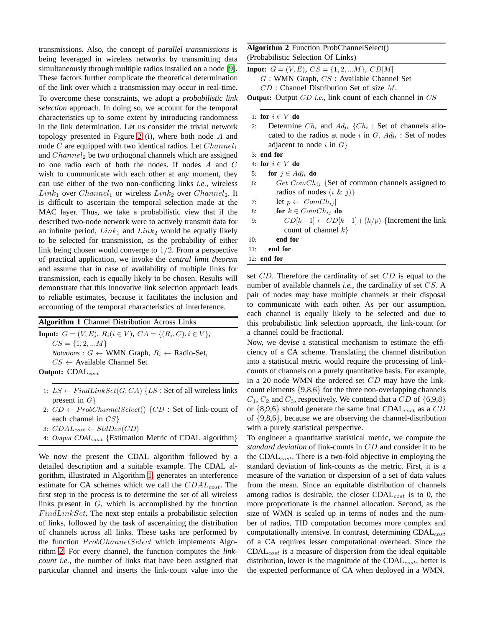transmissions. Also, the concept of *parallel transmissions* is being leveraged in wireless networks by transmitting data simultaneously through multiple radios installed on a node [\[9\]](#page-5-8). These factors further complicate the theoretical determination of the link over which a transmission may occur in real-time. To overcome these constraints, we adopt a *probabilistic link selection* approach. In doing so, we account for the temporal characteristics up to some extent by introducing randomness in the link determination. Let us consider the trivial network topology presented in Figure [2](#page-1-1) (i), where both node A and node C are equipped with two identical radios. Let  $Channel_1$ and  $Channel_2$  be two orthogonal channels which are assigned to one radio each of both the nodes. If nodes A and C wish to communicate with each other at any moment, they can use either of the two non-conflicting links *i.e.*, wireless  $Link_1$  over  $Channel_1$  or wireless  $Link_2$  over  $Channel_2$ . It is difficult to ascertain the temporal selection made at the MAC layer. Thus, we take a probabilistic view that if the described two-node network were to actively transmit data for an infinite period,  $Link_1$  and  $Link_2$  would be equally likely to be selected for transmission, as the probability of either link being chosen would converge to 1/2. From a perspective of practical application, we invoke the *central limit theorem* and assume that in case of availability of multiple links for transmission, each is equally likely to be chosen. Results will demonstrate that this innovative link selection approach leads to reliable estimates, because it facilitates the inclusion and accounting of the temporal characteristics of interference.

<span id="page-2-0"></span>

| Algorithm 1 Channel Distribution Across Links |  |  |  |
|-----------------------------------------------|--|--|--|
|-----------------------------------------------|--|--|--|

**Input:**  $G = (V, E), R_i (i \in V), CA = \{(R_i, C), i \in V\},\$  $CS = \{1, 2, ... M\}$ *Notations* :  $G \leftarrow$  WMN Graph,  $R_i \leftarrow$  Radio-Set,  $CS \leftarrow$  Available Channel Set

- **Output:** CDAL<sub>cost</sub>
- 1:  $LS \leftarrow FindLinkSet(G, CA) \{LS : Set of all wireless links$ present in  $G$ }
- 2:  $CD \leftarrow ProbChannelSelect() \{CD : Set of link-count of$ each channel in  $CS$ }
- 3:  $CDAL_{cost} \leftarrow StdDev(CD)$
- 4: *Output CDAL*<sub>cost</sub> {Estimation Metric of CDAL algorithm}

We now the present the CDAL algorithm followed by a detailed description and a suitable example. The CDAL algorithm, illustrated in Algorithm [1,](#page-2-0) generates an interference estimate for CA schemes which we call the  $CDAL_{cost}$ . The first step in the process is to determine the set of all wireless links present in G, which is accomplished by the function  $FindLinkSet$ . The next step entails a probabilistic selection of links, followed by the task of ascertaining the distribution of channels across all links. These tasks are performed by the function  $ProbChannelSelect$  which implements Algorithm [2.](#page-2-1) For every channel, the function computes the *linkcount i.e.*, the number of links that have been assigned that particular channel and inserts the link-count value into the <span id="page-2-1"></span>**Algorithm 2** Function ProbChannelSelect() (Probabilistic Selection Of Links)

**Input:**  $G = (V, E), CS = \{1, 2, ...M\}, CD[M]$ 

 $G:$  WMN Graph,  $CS:$  Available Channel Set

CD : Channel Distribution Set of size M.

**Output:** Output *CD i.e.*, link count of each channel in *CS* 

1: **for**  $i \in V$  **do** 

2: Determine  $Ch_i$  and  $Adj_i$  { $Ch_i$  : Set of channels allocated to the radios at node i in  $G$ .  $Adj_i$ : Set of nodes adjacent to node i in  $G$ }

3: **end for**

4: **for**  $i \in V$  **do** 

5: **for**  $j \in Adj_i$  **do** 

- 6: Get  $ComCh_{ij}$  {Set of common channels assigned to radios of nodes  $(i \& j)$ }
- 7: let  $p \leftarrow |ComCh_{ii}|$
- 8: **for**  $k \in ComCh_{ij}$  **do**
- 9:  $CD[k-1] \leftarrow CD[k-1] + (k/p)$  {Increment the link count of channel  $k$ }
- 10: **end for**
- 11: **end for**
- 12: **end for**

set CD. Therefore the cardinality of set CD is equal to the number of available channels *i.e.*, the cardinality of set CS. A pair of nodes may have multiple channels at their disposal to communicate with each other. As per our assumption, each channel is equally likely to be selected and due to this probabilistic link selection approach, the link-count for a channel could be fractional.

Now, we devise a statistical mechanism to estimate the efficiency of a CA scheme. Translating the channel distribution into a statistical metric would require the processing of linkcounts of channels on a purely quantitative basis. For example, in a 20 node WMN the ordered set CD may have the linkcount elements  $\{9,8,6\}$  for the three non-overlapping channels  $C_1$ ,  $C_2$  and  $C_3$ , respectively. We contend that a CD of  $\{6,9,8\}$ or  $\{8,9,6\}$  should generate the same final CDAL<sub>cost</sub> as a CD of {9,8,6}, because we are observing the channel-distribution with a purely statistical perspective.

To engineer a quantitative statistical metric, we compute the *standard deviation* of link-counts in CD and consider it to be the  $CDAL_{cost}$ . There is a two-fold objective in employing the standard deviation of link-counts as the metric. First, it is a measure of the variation or dispersion of a set of data values from the mean. Since an equitable distribution of channels among radios is desirable, the closer  $CDAL_{cost}$  is to 0, the more proportionate is the channel allocation. Second, as the size of WMN is scaled up in terms of nodes and the number of radios, TID computation becomes more complex and computationally intensive. In contrast, determining  $CDAL<sub>cost</sub>$ of a CA requires lesser computational overhead. Since the  $CDAL<sub>cost</sub>$  is a measure of dispersion from the ideal equitable distribution, lower is the magnitude of the  $CDAL<sub>cost</sub>$ , better is the expected performance of CA when deployed in a WMN.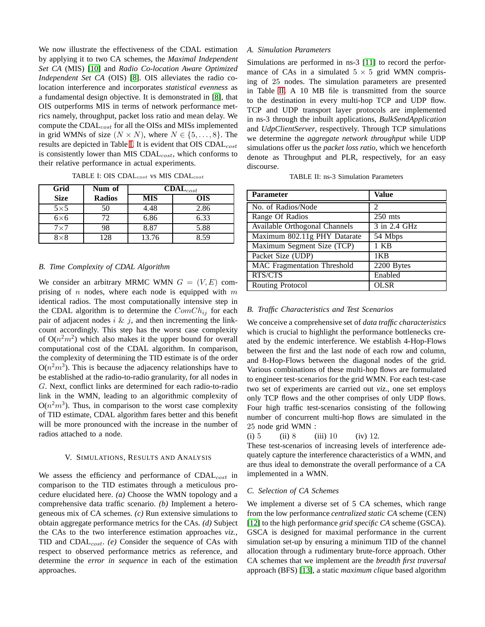We now illustrate the effectiveness of the CDAL estimation by applying it to two CA schemes, the *Maximal Independent Set CA* (MIS) [\[10\]](#page-5-9) and *Radio Co-location Aware Optimized Independent Set CA* (OIS) [\[8\]](#page-5-7). OIS alleviates the radio colocation interference and incorporates *statistical evenness* as a fundamental design objective. It is demonstrated in [\[8\]](#page-5-7), that OIS outperforms MIS in terms of network performance metrics namely, throughput, packet loss ratio and mean delay. We compute the  $CDAL_{cost}$  for all the OISs and MISs implemented in grid WMNs of size  $(N \times N)$ , where  $N \in \{5, \ldots, 8\}$ . The results are depicted in Table [I.](#page-3-0) It is evident that OIS  $CDAL<sub>cost</sub>$ is consistently lower than MIS  $CDAL_{cost}$ , which conforms to their relative performance in actual experiments.

<span id="page-3-0"></span>

| Grid        | Num of        | $\mathbf{CDAL}_{cost}$ |            |  |
|-------------|---------------|------------------------|------------|--|
| <b>Size</b> | <b>Radios</b> | MIS                    | <b>OIS</b> |  |
| $5\times5$  | 50            | 4.48                   | 2.86       |  |
| $6\times 6$ | 72            | 6.86                   | 6.33       |  |
| $7\times7$  | 98            | 8.87                   | 5.88       |  |
| $8\times8$  | 128           | 13.76                  | 8 59       |  |

TABLE I: OIS  $\text{CDAL}_{cost}$  vs MIS  $\text{CDAL}_{cost}$ 

#### *B. Time Complexity of CDAL Algorithm*

We consider an arbitrary MRMC WMN  $G = (V, E)$  comprising of  $n$  nodes, where each node is equipped with  $m$ identical radios. The most computationally intensive step in the CDAL algorithm is to determine the  $ComCh_{ij}$  for each pair of adjacent nodes i & j, and then incrementing the linkcount accordingly. This step has the worst case complexity of  $O(n^2m^2)$  which also makes it the upper bound for overall computational cost of the CDAL algorithm. In comparison, the complexity of determining the TID estimate is of the order  $O(n^2m^3)$ . This is because the adjacency relationships have to be established at the radio-to-radio granularity, for all nodes in G. Next, conflict links are determined for each radio-to-radio link in the WMN, leading to an algorithmic complexity of  $O(n^2m^3)$ . Thus, in comparison to the worst case complexity of TID estimate, CDAL algorithm fares better and this benefit will be more pronounced with the increase in the number of radios attached to a node.

### V. SIMULATIONS, RESULTS AND ANALYSIS

We assess the efficiency and performance of  $CDAL<sub>cost</sub>$  in comparison to the TID estimates through a meticulous procedure elucidated here. *(a)* Choose the WMN topology and a comprehensive data traffic scenario. *(b)* Implement a heterogeneous mix of CA schemes. *(c)* Run extensive simulations to obtain aggregate performance metrics for the CAs. *(d)* Subject the CAs to the two interference estimation approaches *viz.*, TID and CDALcost. *(e)* Consider the sequence of CAs with respect to observed performance metrics as reference, and determine the *error in sequence* in each of the estimation approaches.

### *A. Simulation Parameters*

Simulations are performed in ns-3 [\[11\]](#page-5-10) to record the performance of CAs in a simulated  $5 \times 5$  grid WMN comprising of 25 nodes. The simulation parameters are presented in Table [II.](#page-3-1) A 10 MB file is transmitted from the source to the destination in every multi-hop TCP and UDP flow. TCP and UDP transport layer protocols are implemented in ns-3 through the inbuilt applications, *BulkSendApplication* and *UdpClientServer*, respectively. Through TCP simulations we determine the *aggregate network throughput* while UDP simulations offer us the *packet loss ratio*, which we henceforth denote as Throughput and PLR, respectively, for an easy discourse.

TABLE II: ns-3 Simulation Parameters

<span id="page-3-1"></span>

| <b>Parameter</b>                   | Value          |
|------------------------------------|----------------|
| No. of Radios/Node                 | $\mathfrak{D}$ |
| Range Of Radios                    | $250$ mts      |
| Available Orthogonal Channels      | 3 in 2.4 GHz   |
| Maximum 802.11g PHY Datarate       | 54 Mbps        |
| Maximum Segment Size (TCP)         | 1 KB           |
| Packet Size (UDP)                  | 1KB            |
| <b>MAC</b> Fragmentation Threshold | 2200 Bytes     |
| RTS/CTS                            | Enabled        |
| Routing Protocol                   | <b>OLSR</b>    |

## *B. Traffic Characteristics and Test Scenarios*

We conceive a comprehensive set of *data traffic characteristics* which is crucial to highlight the performance bottlenecks created by the endemic interference. We establish 4-Hop-Flows between the first and the last node of each row and column, and 8-Hop-Flows between the diagonal nodes of the grid. Various combinations of these multi-hop flows are formulated to engineer test-scenarios for the grid WMN. For each test-case two set of experiments are carried out *viz.*, one set employs only TCP flows and the other comprises of only UDP flows. Four high traffic test-scenarios consisting of the following number of concurrent multi-hop flows are simulated in the 25 node grid WMN :

# (i) 5 (ii) 8 (iii) 10 (iv) 12.

These test-scenarios of increasing levels of interference adequately capture the interference characteristics of a WMN, and are thus ideal to demonstrate the overall performance of a CA implemented in a WMN.

## *C. Selection of CA Schemes*

We implement a diverse set of 5 CA schemes, which range from the low performance *centralized static CA* scheme (CEN) [\[12\]](#page-5-11) to the high performance *grid specific CA* scheme (GSCA). GSCA is designed for maximal performance in the current simulation set-up by ensuring a minimum TID of the channel allocation through a rudimentary brute-force approach. Other CA schemes that we implement are the *breadth first traversal* approach (BFS) [\[13\]](#page-5-12), a static *maximum clique* based algorithm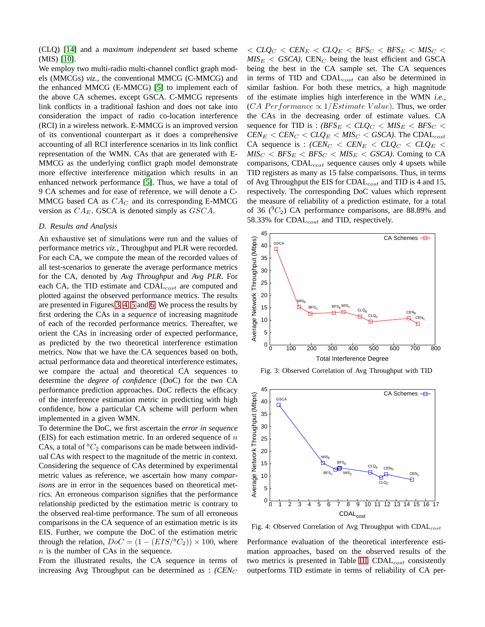(CLQ) [\[14\]](#page-5-13) and a *maximum independent set* based scheme (MIS) [\[10\]](#page-5-9).

We employ two multi-radio multi-channel conflict graph models (MMCGs) *viz.*, the conventional MMCG (C-MMCG) and the enhanced MMCG (E-MMCG) [\[5\]](#page-5-4) to implement each of the above CA schemes, except GSCA. C-MMCG represents link conflicts in a traditional fashion and does not take into consideration the impact of radio co-location interference (RCI) in a wireless network. E-MMCG is an improved version of its conventional counterpart as it does a comprehensive accounting of all RCI interference scenarios in its link conflict representation of the WMN. CAs that are generated with E-MMCG as the underlying conflict graph model demonstrate more effective interference mitigation which results in an enhanced network performance [\[5\]](#page-5-4). Thus, we have a total of 9 CA schemes and for ease of reference, we will denote a C-MMCG based CA as  $CA_C$  and its corresponding E-MMCG version as  $CA_E$ . GSCA is denoted simply as  $GSCA$ .

## *D. Results and Analysis*

An exhaustive set of simulations were run and the values of performance metrics *viz.*, Throughput and PLR were recorded. For each CA, we compute the mean of the recorded values of all test-scenarios to generate the average performance metrics for the CA, denoted by *Avg Throughput* and *Avg PLR*. For each CA, the TID estimate and  $CDAL_{cost}$  are computed and plotted against the observed performance metrics. The results are presented in Figures [3,](#page-4-0) [4,](#page-4-1) [5](#page-5-14) and [6.](#page-5-15) We process the results by first ordering the CAs in a *sequence* of increasing magnitude of each of the recorded performance metrics. Thereafter, we orient the CAs in increasing order of expected performance, as predicted by the two theoretical interference estimation metrics. Now that we have the CA sequences based on both, actual performance data and theoretical interference estimates, we compare the actual and theoretical CA sequences to determine the *degree of confidence* (DoC) for the two CA performance prediction approaches. DoC reflects the efficacy of the interference estimation metric in predicting with high confidence, how a particular CA scheme will perform when implemented in a given WMN.

To determine the DoC, we first ascertain the *error in sequence* (EIS) for each estimation metric. In an ordered sequence of  $n$ CAs, a total of  ${}^nC_2$  comparisons can be made between individual CAs with respect to the magnitude of the metric in context. Considering the sequence of CAs determined by experimental metric values as reference, we ascertain how many *comparisons* are in error in the sequences based on theoretical metrics. An erroneous comparison signifies that the performance relationship predicted by the estimation metric is contrary to the observed real-time performance. The sum of all erroneous comparisons in the CA sequence of an estimation metric is its EIS. Further, we compute the DoC of the estimation metric through the relation,  $DoC = (1 - (EIS)^{n}C_2) \times 100$ , where  $n$  is the number of CAs in the sequence.

From the illustrated results, the CA sequence in terms of increasing Avg Throughput can be determined as :  $(CEN_C)$ 

 $<$   $CLQ_C$   $<$   $CEN_E$   $<$   $CLQ_E$   $<$   $BFS_C$   $<$   $BFS_E$   $<$   $MIS_C$   $<$  $MIS_E <$  *GSCA*), CEN<sub>C</sub> being the least efficient and GSCA being the best in the CA sample set. The CA sequences in terms of TID and CDAL<sub>cost</sub> can also be determined in similar fashion. For both these metrics, a high magnitude of the estimate implies high interference in the WMN *i.e.*, (CA Performance  $\propto 1/Estimate$  Value). Thus, we order the CAs in the decreasing order of estimate values. CA sequence for TID is :  $(BFS_E < CLQ_C < MIS_E < BFS_C <$  $CEN_E < CEN_C < CLQ_E < MIS_C < GSCA$ ). The CDAL<sub>cost</sub> CA sequence is :  $(CEN_C \lt CEN_E \lt C LQ_C \lt C LQ_E \lt C LQ_E$  $MIS_C < BFS_E < BFS_C < MIS_E < GSCA$ ). Coming to CA comparisons,  $CDAL_{cost}$  sequence causes only 4 upsets while TID registers as many as 15 false comparisons. Thus, in terms of Avg Throughput the EIS for CDAL<sub>cost</sub> and TID is 4 and 15, respectively. The corresponding DoC values which represent the measure of reliability of a prediction estimate, for a total of 36 ( ${}^9C_2$ ) CA performance comparisons, are 88.89% and 58.33% for  $\text{CDAL}_{cost}$  and TID, respectively.

<span id="page-4-0"></span>

Fig. 3: Observed Correlation of Avg Throughput with TID

<span id="page-4-1"></span>

Fig. 4: Observed Correlation of Avg Throughput with CDAL $_{cost}$ 

Performance evaluation of the theoretical interference estimation approaches, based on the observed results of the two metrics is presented in Table [III.](#page-5-16)  $CDAL_{cost}$  consistently outperforms TID estimate in terms of reliability of CA per-